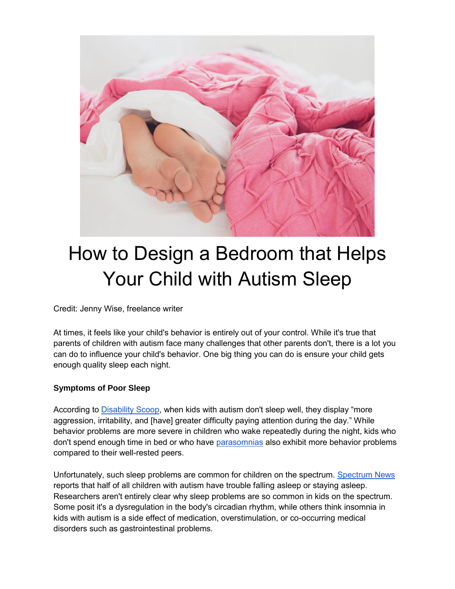

## How to Design a Bedroom that Helps Your Child with Autism Sleep

Credit: Jenny Wise, freelance writer

At times, it feels like your child's behavior is entirely out of your control. While it's true that parents of children with autism face many challenges that other parents don't, there is a lot you can do to influence your child's behavior. One big thing you can do is ensure your child gets enough quality sleep each night.

## **Symptoms of Poor Sleep**

According to [Disability Scoop,](https://www.disabilityscoop.com/2016/02/18/autism-behavior-poor-sleep/21930/) when kids with autism don't sleep well, they display "more aggression, irritability, and [have] greater difficulty paying attention during the day." While behavior problems are more severe in children who wake repeatedly during the night, kids who don't spend enough time in bed or who have [parasomnias](https://my.clevelandclinic.org/health/diseases/12133-parasomnias--disruptive-sleep-disorders) also exhibit more behavior problems compared to their well-rested peers.

Unfortunately, such sleep problems are common for children on the spectrum. [Spectrum News](https://www.spectrumnews.org/features/deep-dive/wide-awake-why-children-with-autism-struggle-with-sleep/) reports that half of all children with autism have trouble falling asleep or staying asleep. Researchers aren't entirely clear why sleep problems are so common in kids on the spectrum. Some posit it's a dysregulation in the body's circadian rhythm, while others think insomnia in kids with autism is a side effect of medication, overstimulation, or co-occurring medical disorders such as gastrointestinal problems.